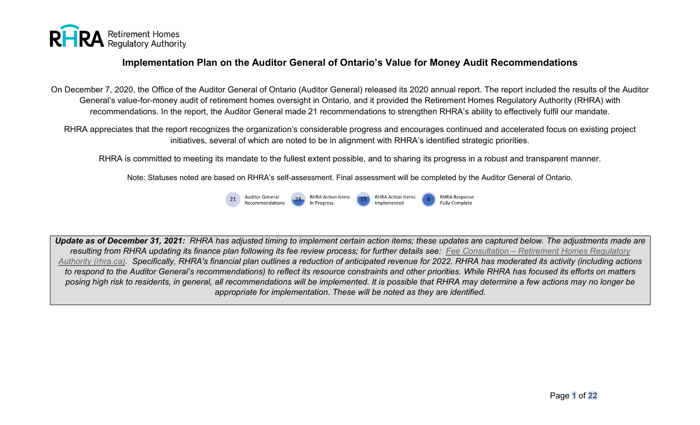

On December 7, 2020, the Office of the Auditor General of Ontario (Auditor General) released its 2020 annual report. The report included the results of the Auditor General's value-for-money audit of retirement homes oversight in Ontario, and it provided the Retirement Homes Regulatory Authority (RHRA) with recommendations. In the report, the Auditor General made 21 recommendations to strengthen RHRA's ability to effectively fulfil our mandate.

RHRA appreciates that the report recognizes the organization's considerable progress and encourages continued and accelerated focus on existing project initiatives, several of which are noted to be in alignment with RHRA's identified strategic priorities.

RHRA is committed to meeting its mandate to the fullest extent possible, and to sharing its progress in a robust and transparent manner.

Note: Statuses noted are based on RHRA's self-assessment. Final assessment will be completed by the Auditor General of Ontario.



*Update as of December 31, 2021: RHRA has adjusted timing to implement certain action items; these updates are captured below. The adjustments made are resulting from RHRA updating its finance plan following its fee review process; for further details see: Fee Consultation – [Retirement Homes Regulatory](https://www.rhra.ca/en/fee-consultation-form/)  [Authority \(rhra.ca\).](https://www.rhra.ca/en/fee-consultation-form/) Specifically, RHRA's financial plan outlines a reduction of anticipated revenue for 2022. RHRA has moderated its activity (including actions to respond to the Auditor General's recommendations) to reflect its resource constraints and other priorities. While RHRA has focused its efforts on matters posing high risk to residents, in general, all recommendations will be implemented. It is possible that RHRA may determine a few actions may no longer be appropriate for implementation. These will be noted as they are identified.*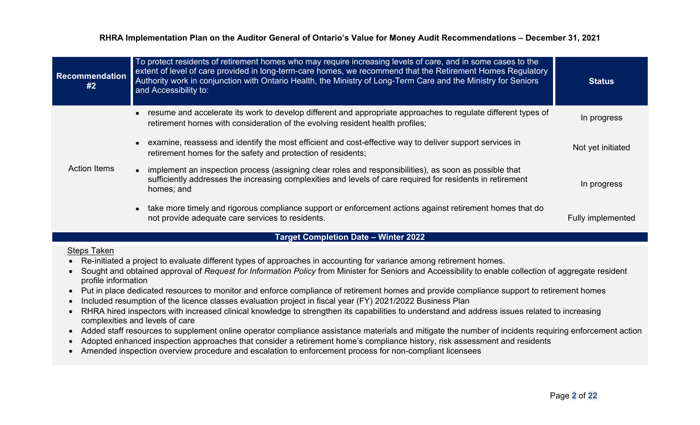| <b>Recommendation</b><br>#2 | To protect residents of retirement homes who may require increasing levels of care, and in some cases to the<br>extent of level of care provided in long-term-care homes, we recommend that the Retirement Homes Regulatory<br>Authority work in conjunction with Ontario Health, the Ministry of Long-Term Care and the Ministry for Seniors<br>and Accessibility to: | <b>Status</b>     |
|-----------------------------|------------------------------------------------------------------------------------------------------------------------------------------------------------------------------------------------------------------------------------------------------------------------------------------------------------------------------------------------------------------------|-------------------|
|                             | resume and accelerate its work to develop different and appropriate approaches to regulate different types of<br>retirement homes with consideration of the evolving resident health profiles;                                                                                                                                                                         | In progress       |
| <b>Action Items</b>         | examine, reassess and identify the most efficient and cost-effective way to deliver support services in<br>retirement homes for the safety and protection of residents;                                                                                                                                                                                                | Not yet initiated |
|                             | implement an inspection process (assigning clear roles and responsibilities), as soon as possible that<br>sufficiently addresses the increasing complexities and levels of care required for residents in retirement<br>homes; and                                                                                                                                     | In progress       |
|                             | • take more timely and rigorous compliance support or enforcement actions against retirement homes that do<br>not provide adequate care services to residents.                                                                                                                                                                                                         | Fully implemented |

## **Target Completion Date – Winter 2022**

#### Steps Taken

- Re-initiated a project to evaluate different types of approaches in accounting for variance among retirement homes.
- Sought and obtained approval of *Request for Information Policy* from Minister for Seniors and Accessibility to enable collection of aggregate resident profile information
- Put in place dedicated resources to monitor and enforce compliance of retirement homes and provide compliance support to retirement homes
- Included resumption of the licence classes evaluation project in fiscal year (FY) 2021/2022 Business Plan
- RHRA hired inspectors with increased clinical knowledge to strengthen its capabilities to understand and address issues related to increasing complexities and levels of care
- Added staff resources to supplement online operator compliance assistance materials and mitigate the number of incidents requiring enforcement action
- Adopted enhanced inspection approaches that consider a retirement home's compliance history, risk assessment and residents
- Amended inspection overview procedure and escalation to enforcement process for non-compliant licensees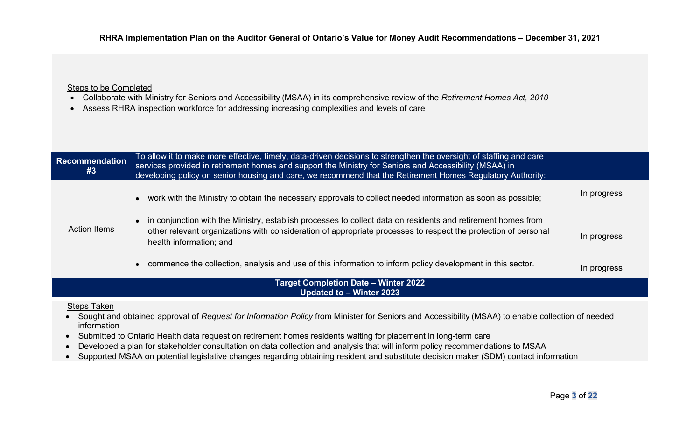#### Steps to be Completed

- Collaborate with Ministry for Seniors and Accessibility (MSAA) in its comprehensive review of the *Retirement Homes Act, 2010*
- Assess RHRA inspection workforce for addressing increasing complexities and levels of care

| <b>Recommendation</b><br>#3 | To allow it to make more effective, timely, data-driven decisions to strengthen the oversight of staffing and care<br>services provided in retirement homes and support the Ministry for Seniors and Accessibility (MSAA) in<br>developing policy on senior housing and care, we recommend that the Retirement Homes Regulatory Authority: |             |
|-----------------------------|--------------------------------------------------------------------------------------------------------------------------------------------------------------------------------------------------------------------------------------------------------------------------------------------------------------------------------------------|-------------|
|                             | • work with the Ministry to obtain the necessary approvals to collect needed information as soon as possible;                                                                                                                                                                                                                              | In progress |
| <b>Action Items</b>         | in conjunction with the Ministry, establish processes to collect data on residents and retirement homes from<br>other relevant organizations with consideration of appropriate processes to respect the protection of personal<br>health information; and                                                                                  | In progress |
|                             | commence the collection, analysis and use of this information to inform policy development in this sector.                                                                                                                                                                                                                                 | In progress |
|                             | <b>Target Completion Date - Winter 2022</b><br>Updated to - Winter 2023                                                                                                                                                                                                                                                                    |             |

#### Steps Taken

- Sought and obtained approval of *Request for Information Policy* from Minister for Seniors and Accessibility (MSAA) to enable collection of needed information
- Submitted to Ontario Health data request on retirement homes residents waiting for placement in long-term care
- Developed a plan for stakeholder consultation on data collection and analysis that will inform policy recommendations to MSAA
- Supported MSAA on potential legislative changes regarding obtaining resident and substitute decision maker (SDM) contact information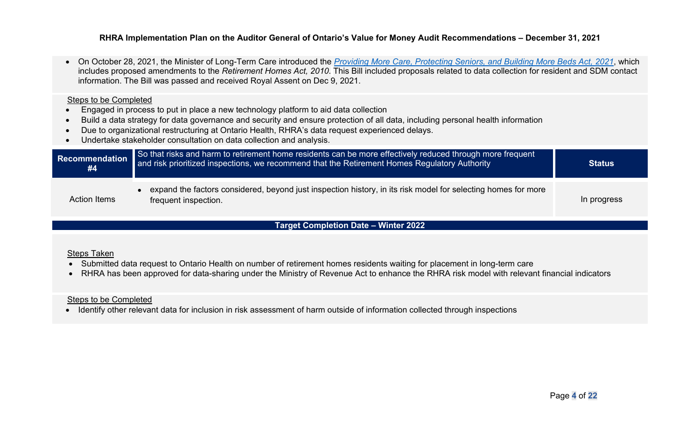• On October 28, 2021, the Minister of Long-Term Care introduced the *[Providing More Care, Protecting Seniors, and Building More Beds Act, 2021](https://www.ola.org/sites/default/files/node-files/bill/document/pdf/2021/2021-10/b037_e.pdf)*, which includes proposed amendments to the *Retirement Homes Act, 2010*. This Bill included proposals related to data collection for resident and SDM contact information. The Bill was passed and received Royal Assent on Dec 9, 2021.

#### Steps to be Completed

- Engaged in process to put in place a new technology platform to aid data collection
- Build a data strategy for data governance and security and ensure protection of all data, including personal health information
- Due to organizational restructuring at Ontario Health, RHRA's data request experienced delays.
- Undertake stakeholder consultation on data collection and analysis.

| Recommendation<br>#4 | So that risks and harm to retirement home residents can be more effectively reduced through more frequent<br>and risk prioritized inspections, we recommend that the Retirement Homes Regulatory Authority | <b>Status</b> |
|----------------------|------------------------------------------------------------------------------------------------------------------------------------------------------------------------------------------------------------|---------------|
| <b>Action Items</b>  | expand the factors considered, beyond just inspection history, in its risk model for selecting homes for more<br>frequent inspection.                                                                      | In progress   |

### **Target Completion Date – Winter 2022**

#### Steps Taken

- Submitted data request to Ontario Health on number of retirement homes residents waiting for placement in long-term care
- RHRA has been approved for data-sharing under the Ministry of Revenue Act to enhance the RHRA risk model with relevant financial indicators

#### Steps to be Completed

• Identify other relevant data for inclusion in risk assessment of harm outside of information collected through inspections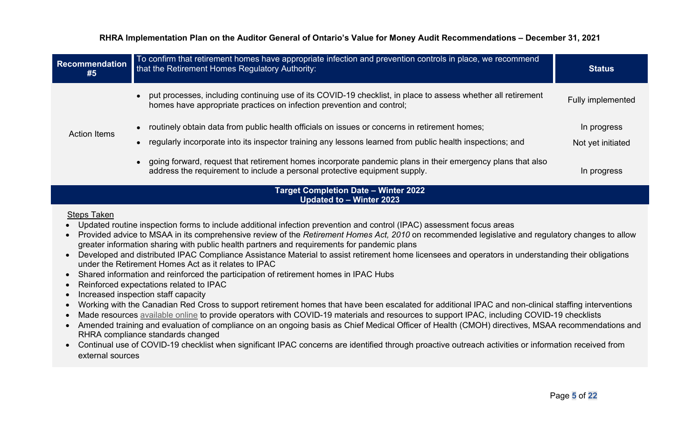| <b>Recommendation</b><br>#5 | To confirm that retirement homes have appropriate infection and prevention controls in place, we recommend<br>that the Retirement Homes Regulatory Authority:                                              | <b>Status</b>                    |
|-----------------------------|------------------------------------------------------------------------------------------------------------------------------------------------------------------------------------------------------------|----------------------------------|
|                             | put processes, including continuing use of its COVID-19 checklist, in place to assess whether all retirement<br>homes have appropriate practices on infection prevention and control;                      | Fully implemented                |
| <b>Action Items</b>         | routinely obtain data from public health officials on issues or concerns in retirement homes;<br>regularly incorporate into its inspector training any lessons learned from public health inspections; and | In progress<br>Not yet initiated |
|                             | going forward, request that retirement homes incorporate pandemic plans in their emergency plans that also<br>address the requirement to include a personal protective equipment supply.                   | In progress                      |

## **Target Completion Date – Winter 2022 Updated to – Winter 2023**

## Steps Taken

- Updated routine inspection forms to include additional infection prevention and control (IPAC) assessment focus areas
- Provided advice to MSAA in its comprehensive review of the *Retirement Homes Act, 2010* on recommended legislative and regulatory changes to allow greater information sharing with public health partners and requirements for pandemic plans
- Developed and distributed IPAC Compliance Assistance Material to assist retirement home licensees and operators in understanding their obligations under the Retirement Homes Act as it relates to IPAC
- Shared information and reinforced the participation of retirement homes in IPAC Hubs
- Reinforced expectations related to IPAC
- Increased inspection staff capacity
- Working with the Canadian Red Cross to support retirement homes that have been escalated for additional IPAC and non-clinical staffing interventions
- Made resources [available online](https://www.rhra.ca/en/covid-19-coronavirus-update/#tab1) to provide operators with COVID-19 materials and resources to support IPAC, including COVID-19 checklists
- Amended training and evaluation of compliance on an ongoing basis as Chief Medical Officer of Health (CMOH) directives, MSAA recommendations and RHRA compliance standards changed
- Continual use of COVID-19 checklist when significant IPAC concerns are identified through proactive outreach activities or information received from external sources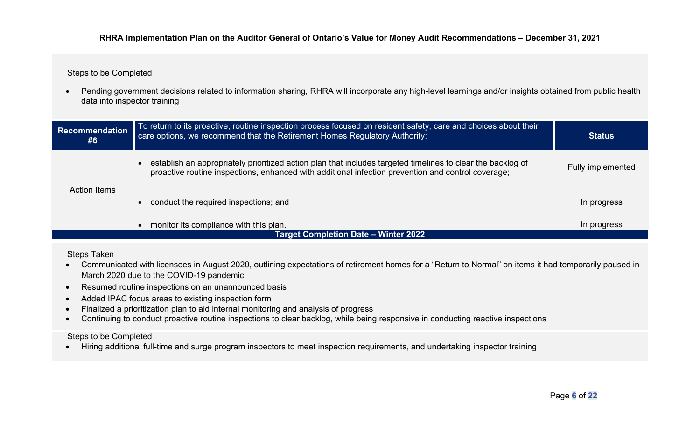## Steps to be Completed

• Pending government decisions related to information sharing, RHRA will incorporate any high-level learnings and/or insights obtained from public health data into inspector training

| Recommendation<br>#6 | To return to its proactive, routine inspection process focused on resident safety, care and choices about their<br>care options, we recommend that the Retirement Homes Regulatory Authority:                     | <b>Status</b>            |
|----------------------|-------------------------------------------------------------------------------------------------------------------------------------------------------------------------------------------------------------------|--------------------------|
| <b>Action Items</b>  | establish an appropriately prioritized action plan that includes targeted timelines to clear the backlog of<br>proactive routine inspections, enhanced with additional infection prevention and control coverage; | <b>Fully implemented</b> |
|                      | conduct the required inspections; and                                                                                                                                                                             | In progress              |
|                      | monitor its compliance with this plan.                                                                                                                                                                            | In progress              |
|                      | <b>Target Completion Date - Winter 2022</b>                                                                                                                                                                       |                          |

## Steps Taken

- Communicated with licensees in August 2020, outlining expectations of retirement homes for a "Return to Normal" on items it had temporarily paused in March 2020 due to the COVID-19 pandemic
- Resumed routine inspections on an unannounced basis
- Added IPAC focus areas to existing inspection form
- Finalized a prioritization plan to aid internal monitoring and analysis of progress
- Continuing to conduct proactive routine inspections to clear backlog, while being responsive in conducting reactive inspections

### Steps to be Completed

• Hiring additional full-time and surge program inspectors to meet inspection requirements, and undertaking inspector training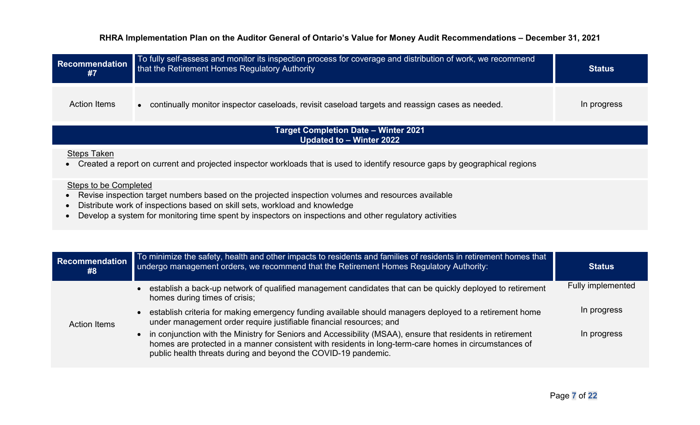| <b>Recommendation</b><br>#7 | To fully self-assess and monitor its inspection process for coverage and distribution of work, we recommend<br>that the Retirement Homes Regulatory Authority                                                                                                                               | <b>Status</b> |
|-----------------------------|---------------------------------------------------------------------------------------------------------------------------------------------------------------------------------------------------------------------------------------------------------------------------------------------|---------------|
| <b>Action Items</b>         | • continually monitor inspector caseloads, revisit caseload targets and reassign cases as needed.                                                                                                                                                                                           | In progress   |
|                             | <b>Target Completion Date - Winter 2021</b><br>Updated to - Winter 2022                                                                                                                                                                                                                     |               |
| <b>Steps Taken</b>          | Created a report on current and projected inspector workloads that is used to identify resource gaps by geographical regions                                                                                                                                                                |               |
| Steps to be Completed       | Revise inspection target numbers based on the projected inspection volumes and resources available<br>Distribute work of inspections based on skill sets, workload and knowledge<br>Develop a system for monitoring time spent by inspectors on inspections and other regulatory activities |               |

| Recommendation<br>#8 | To minimize the safety, health and other impacts to residents and families of residents in retirement homes that<br>undergo management orders, we recommend that the Retirement Homes Regulatory Authority:                                                                             | <b>Status</b>     |
|----------------------|-----------------------------------------------------------------------------------------------------------------------------------------------------------------------------------------------------------------------------------------------------------------------------------------|-------------------|
| <b>Action Items</b>  | establish a back-up network of qualified management candidates that can be quickly deployed to retirement<br>homes during times of crisis;                                                                                                                                              | Fully implemented |
|                      | establish criteria for making emergency funding available should managers deployed to a retirement home<br>under management order require justifiable financial resources; and                                                                                                          | In progress       |
|                      | • in conjunction with the Ministry for Seniors and Accessibility (MSAA), ensure that residents in retirement<br>homes are protected in a manner consistent with residents in long-term-care homes in circumstances of<br>public health threats during and beyond the COVID-19 pandemic. | In progress       |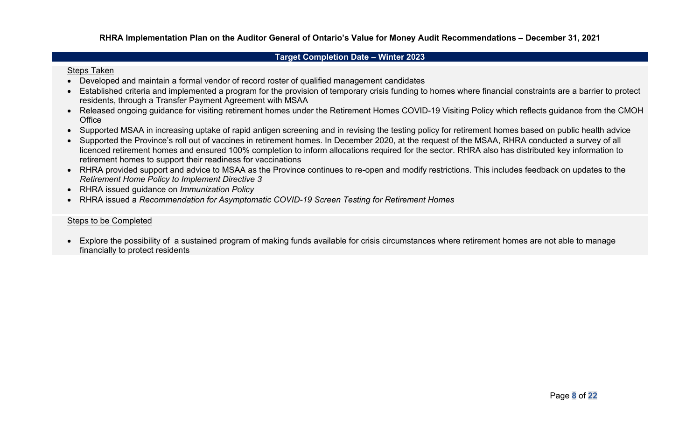#### **Target Completion Date – Winter 2023**

#### Steps Taken

- Developed and maintain a formal vendor of record roster of qualified management candidates
- Established criteria and implemented a program for the provision of temporary crisis funding to homes where financial constraints are a barrier to protect residents, through a Transfer Payment Agreement with MSAA
- Released ongoing guidance for visiting retirement homes under the Retirement Homes COVID-19 Visiting Policy which reflects guidance from the CMOH **Office**
- Supported MSAA in increasing uptake of rapid antigen screening and in revising the testing policy for retirement homes based on public health advice
- Supported the Province's roll out of vaccines in retirement homes. In December 2020, at the request of the MSAA, RHRA conducted a survey of all licenced retirement homes and ensured 100% completion to inform allocations required for the sector. RHRA also has distributed key information to retirement homes to support their readiness for vaccinations
- RHRA provided support and advice to MSAA as the Province continues to re-open and modify restrictions. This includes feedback on updates to the *Retirement Home Policy to Implement Directive 3*
- RHRA issued guidance on *Immunization Policy*
- RHRA issued a *Recommendation for Asymptomatic COVID-19 Screen Testing for Retirement Homes*

#### Steps to be Completed

• Explore the possibility of a sustained program of making funds available for crisis circumstances where retirement homes are not able to manage financially to protect residents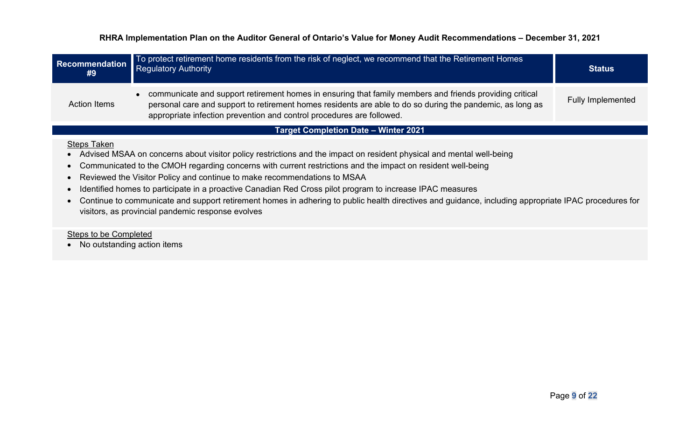| <b>Recommendation</b><br>#9                          | To protect retirement home residents from the risk of neglect, we recommend that the Retirement Homes<br><b>Regulatory Authority</b>                                                                                                                                                                                                                                                                                                                                                                                                                                                                                                      | <b>Status</b>            |
|------------------------------------------------------|-------------------------------------------------------------------------------------------------------------------------------------------------------------------------------------------------------------------------------------------------------------------------------------------------------------------------------------------------------------------------------------------------------------------------------------------------------------------------------------------------------------------------------------------------------------------------------------------------------------------------------------------|--------------------------|
| <b>Action Items</b>                                  | • communicate and support retirement homes in ensuring that family members and friends providing critical<br>personal care and support to retirement homes residents are able to do so during the pandemic, as long as<br>appropriate infection prevention and control procedures are followed.                                                                                                                                                                                                                                                                                                                                           | <b>Fully Implemented</b> |
|                                                      | <b>Target Completion Date - Winter 2021</b>                                                                                                                                                                                                                                                                                                                                                                                                                                                                                                                                                                                               |                          |
| <b>Steps Taken</b>                                   | Advised MSAA on concerns about visitor policy restrictions and the impact on resident physical and mental well-being<br>Communicated to the CMOH regarding concerns with current restrictions and the impact on resident well-being<br>Reviewed the Visitor Policy and continue to make recommendations to MSAA<br>Identified homes to participate in a proactive Canadian Red Cross pilot program to increase IPAC measures<br>Continue to communicate and support retirement homes in adhering to public health directives and guidance, including appropriate IPAC procedures for<br>visitors, as provincial pandemic response evolves |                          |
| Steps to be Completed<br>No outstanding action items |                                                                                                                                                                                                                                                                                                                                                                                                                                                                                                                                                                                                                                           |                          |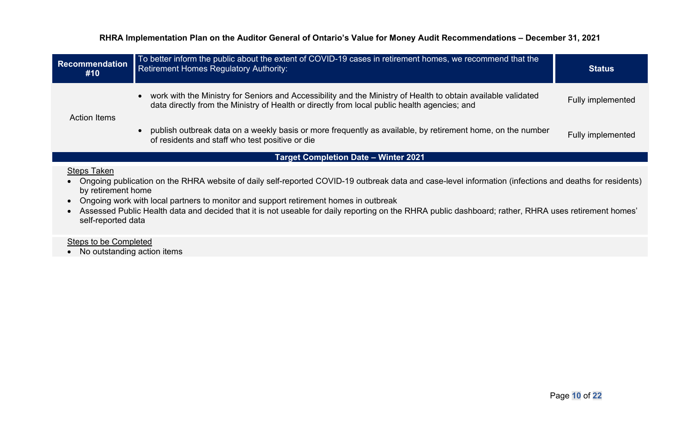| <b>Recommendation</b><br>#10      | To better inform the public about the extent of COVID-19 cases in retirement homes, we recommend that the<br><b>Retirement Homes Regulatory Authority:</b>                                                    | <b>Status</b>     |
|-----------------------------------|---------------------------------------------------------------------------------------------------------------------------------------------------------------------------------------------------------------|-------------------|
| <b>Action Items</b>               | work with the Ministry for Seniors and Accessibility and the Ministry of Health to obtain available validated<br>data directly from the Ministry of Health or directly from local public health agencies; and | Fully implemented |
|                                   | publish outbreak data on a weekly basis or more frequently as available, by retirement home, on the number<br>of residents and staff who test positive or die                                                 | Fully implemented |
|                                   | <b>Target Completion Date - Winter 2021</b>                                                                                                                                                                   |                   |
| $Q_{\text{max}}$ $T_{\text{max}}$ |                                                                                                                                                                                                               |                   |

#### Steps Taken

• Ongoing publication on the RHRA website of daily self-reported COVID-19 outbreak data and case-level information (infections and deaths for residents) by retirement home

• Ongoing work with local partners to monitor and support retirement homes in outbreak

• Assessed Public Health data and decided that it is not useable for daily reporting on the RHRA public dashboard; rather, RHRA uses retirement homes' self-reported data

Steps to be Completed

• No outstanding action items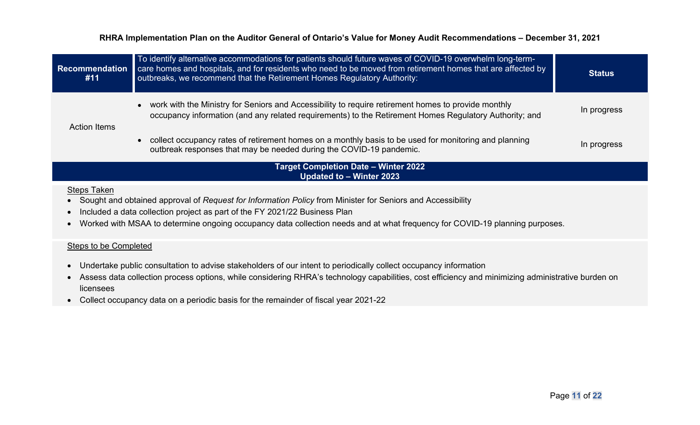| <b>Recommendation</b><br>#11                 | To identify alternative accommodations for patients should future waves of COVID-19 overwhelm long-term-<br>care homes and hospitals, and for residents who need to be moved from retirement homes that are affected by<br>outbreaks, we recommend that the Retirement Homes Regulatory Authority:                      | <b>Status</b> |
|----------------------------------------------|-------------------------------------------------------------------------------------------------------------------------------------------------------------------------------------------------------------------------------------------------------------------------------------------------------------------------|---------------|
| <b>Action Items</b>                          | work with the Ministry for Seniors and Accessibility to require retirement homes to provide monthly<br>occupancy information (and any related requirements) to the Retirement Homes Regulatory Authority; and                                                                                                           | In progress   |
|                                              | collect occupancy rates of retirement homes on a monthly basis to be used for monitoring and planning<br>outbreak responses that may be needed during the COVID-19 pandemic.                                                                                                                                            | In progress   |
|                                              | <b>Target Completion Date - Winter 2022</b><br>Updated to - Winter 2023                                                                                                                                                                                                                                                 |               |
| <b>Steps Taken</b><br>$\bullet$<br>$\bullet$ | Sought and obtained approval of Request for Information Policy from Minister for Seniors and Accessibility<br>Included a data collection project as part of the FY 2021/22 Business Plan<br>Worked with MSAA to determine ongoing occupancy data collection needs and at what frequency for COVID-19 planning purposes. |               |
| Steps to be Completed                        |                                                                                                                                                                                                                                                                                                                         |               |

- Undertake public consultation to advise stakeholders of our intent to periodically collect occupancy information
- Assess data collection process options, while considering RHRA's technology capabilities, cost efficiency and minimizing administrative burden on licensees
- Collect occupancy data on a periodic basis for the remainder of fiscal year 2021-22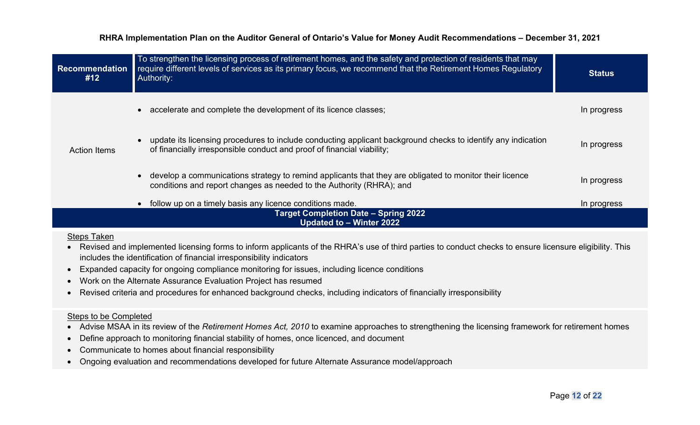| <b>Recommendation</b><br>#12 | To strengthen the licensing process of retirement homes, and the safety and protection of residents that may<br>require different levels of services as its primary focus, we recommend that the Retirement Homes Regulatory<br>Authority: | <b>Status</b> |
|------------------------------|--------------------------------------------------------------------------------------------------------------------------------------------------------------------------------------------------------------------------------------------|---------------|
|                              | accelerate and complete the development of its licence classes;<br>$\bullet$                                                                                                                                                               | In progress   |
| <b>Action Items</b>          | update its licensing procedures to include conducting applicant background checks to identify any indication<br>of financially irresponsible conduct and proof of financial viability;                                                     | In progress   |
|                              | develop a communications strategy to remind applicants that they are obligated to monitor their licence<br>conditions and report changes as needed to the Authority (RHRA); and                                                            | In progress   |
|                              | follow up on a timely basis any licence conditions made.                                                                                                                                                                                   | In progress   |
|                              | <b>Target Completion Date - Spring 2022</b><br>Updated to - Winter 2022                                                                                                                                                                    |               |
| <b>Steps Taken</b>           | Revised and implemented licensing forms to inform applicants of the RHRA's use of third parties to conduct checks to ensure licensure eligibility. This<br>includes the identification of financial irresponsibility indicators            |               |

- Expanded capacity for ongoing compliance monitoring for issues, including licence conditions
- Work on the Alternate Assurance Evaluation Project has resumed
- Revised criteria and procedures for enhanced background checks, including indicators of financially irresponsibility

### Steps to be Completed

- Advise MSAA in its review of the *Retirement Homes Act, 2010* to examine approaches to strengthening the licensing framework for retirement homes
- Define approach to monitoring financial stability of homes, once licenced, and document
- Communicate to homes about financial responsibility
- Ongoing evaluation and recommendations developed for future Alternate Assurance model/approach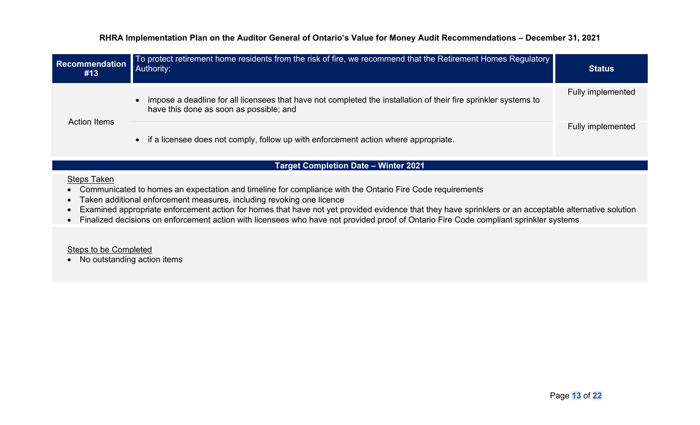| Recommendation<br>#13 | To protect retirement home residents from the risk of fire, we recommend that the Retirement Homes Regulatory<br>Authority:                                | <b>Status</b>     |
|-----------------------|------------------------------------------------------------------------------------------------------------------------------------------------------------|-------------------|
| <b>Action Items</b>   | impose a deadline for all licensees that have not completed the installation of their fire sprinkler systems to<br>have this done as soon as possible; and | Fully implemented |
|                       | • if a licensee does not comply, follow up with enforcement action where appropriate.                                                                      | Fully implemented |

## **Target Completion Date – Winter 2021**

#### Steps Taken

- Communicated to homes an expectation and timeline for compliance with the Ontario Fire Code requirements
- Taken additional enforcement measures, including revoking one licence
- Examined appropriate enforcement action for homes that have not yet provided evidence that they have sprinklers or an acceptable alternative solution
- Finalized decisions on enforcement action with licensees who have not provided proof of Ontario Fire Code compliant sprinkler systems

## Steps to be Completed

• No outstanding action items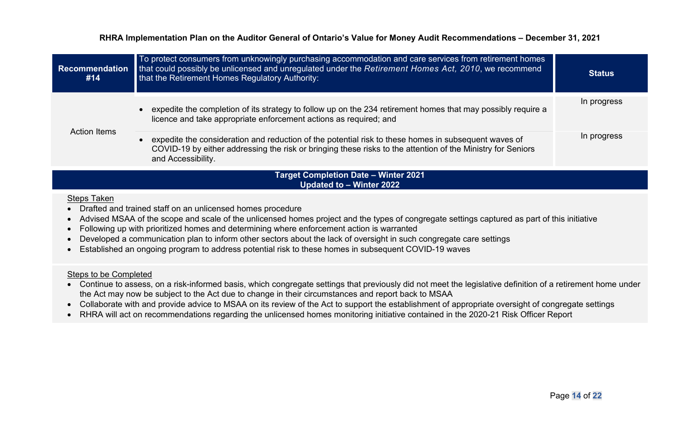| <b>Recommendation</b><br>#14                | To protect consumers from unknowingly purchasing accommodation and care services from retirement homes<br>that could possibly be unlicensed and unregulated under the Retirement Homes Act, 2010, we recommend<br>that the Retirement Homes Regulatory Authority: | <b>Status</b> |
|---------------------------------------------|-------------------------------------------------------------------------------------------------------------------------------------------------------------------------------------------------------------------------------------------------------------------|---------------|
|                                             | expedite the completion of its strategy to follow up on the 234 retirement homes that may possibly require a<br>licence and take appropriate enforcement actions as required; and                                                                                 | In progress   |
| <b>Action Items</b>                         | expedite the consideration and reduction of the potential risk to these homes in subsequent waves of<br>COVID-19 by either addressing the risk or bringing these risks to the attention of the Ministry for Seniors<br>and Accessibility.                         | In progress   |
| <b>Target Completion Date - Winter 2021</b> |                                                                                                                                                                                                                                                                   |               |

**Updated to – Winter 2022**

## Steps Taken

- Drafted and trained staff on an unlicensed homes procedure
- Advised MSAA of the scope and scale of the unlicensed homes project and the types of congregate settings captured as part of this initiative
- Following up with prioritized homes and determining where enforcement action is warranted
- Developed a communication plan to inform other sectors about the lack of oversight in such congregate care settings
- Established an ongoing program to address potential risk to these homes in subsequent COVID-19 waves

#### Steps to be Completed

- Continue to assess, on a risk-informed basis, which congregate settings that previously did not meet the legislative definition of a retirement home under the Act may now be subject to the Act due to change in their circumstances and report back to MSAA
- Collaborate with and provide advice to MSAA on its review of the Act to support the establishment of appropriate oversight of congregate settings
- RHRA will act on recommendations regarding the unlicensed homes monitoring initiative contained in the 2020-21 Risk Officer Report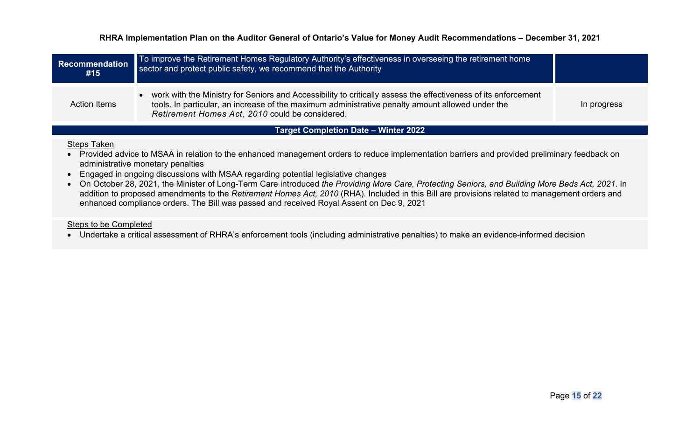| <b>Recommendation</b><br>#15                | To improve the Retirement Homes Regulatory Authority's effectiveness in overseeing the retirement home<br>sector and protect public safety, we recommend that the Authority                                                                                           |             |
|---------------------------------------------|-----------------------------------------------------------------------------------------------------------------------------------------------------------------------------------------------------------------------------------------------------------------------|-------------|
| <b>Action Items</b>                         | work with the Ministry for Seniors and Accessibility to critically assess the effectiveness of its enforcement<br>tools. In particular, an increase of the maximum administrative penalty amount allowed under the<br>Retirement Homes Act, 2010 could be considered. | In progress |
| <b>Target Completion Date - Winter 2022</b> |                                                                                                                                                                                                                                                                       |             |

#### Steps Taken

- Provided advice to MSAA in relation to the enhanced management orders to reduce implementation barriers and provided preliminary feedback on administrative monetary penalties
- Engaged in ongoing discussions with MSAA regarding potential legislative changes
- On October 28, 2021, the Minister of Long-Term Care introduced *the Providing More Care, Protecting Seniors, and Building More Beds Act, 2021*. In addition to proposed amendments to the *Retirement Homes Act, 2010* (RHA). Included in this Bill are provisions related to management orders and enhanced compliance orders. The Bill was passed and received Royal Assent on Dec 9, 2021

#### Steps to be Completed

• Undertake a critical assessment of RHRA's enforcement tools (including administrative penalties) to make an evidence-informed decision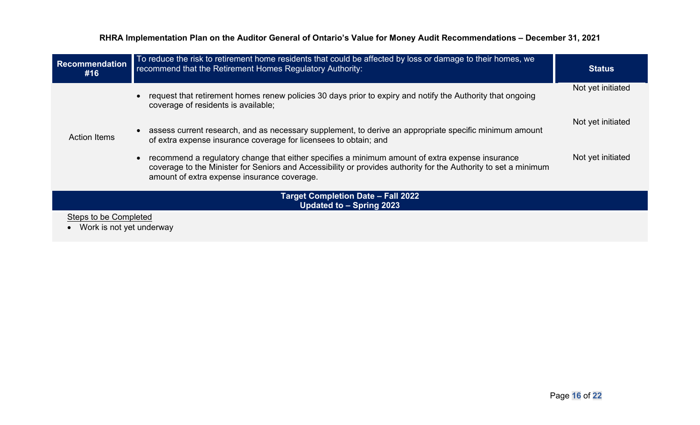| <b>Recommendation</b><br>#16                                          | To reduce the risk to retirement home residents that could be affected by loss or damage to their homes, we<br>recommend that the Retirement Homes Regulatory Authority:                                                                                          | <b>Status</b>     |
|-----------------------------------------------------------------------|-------------------------------------------------------------------------------------------------------------------------------------------------------------------------------------------------------------------------------------------------------------------|-------------------|
|                                                                       | request that retirement homes renew policies 30 days prior to expiry and notify the Authority that ongoing<br>coverage of residents is available;                                                                                                                 | Not yet initiated |
| <b>Action Items</b>                                                   | assess current research, and as necessary supplement, to derive an appropriate specific minimum amount<br>of extra expense insurance coverage for licensees to obtain; and                                                                                        | Not yet initiated |
|                                                                       | recommend a regulatory change that either specifies a minimum amount of extra expense insurance<br>coverage to the Minister for Seniors and Accessibility or provides authority for the Authority to set a minimum<br>amount of extra expense insurance coverage. | Not yet initiated |
| <b>Target Completion Date - Fall 2022</b><br>Updated to - Spring 2023 |                                                                                                                                                                                                                                                                   |                   |
| Steps to be Completed<br>Work is not yet underway                     |                                                                                                                                                                                                                                                                   |                   |
|                                                                       |                                                                                                                                                                                                                                                                   |                   |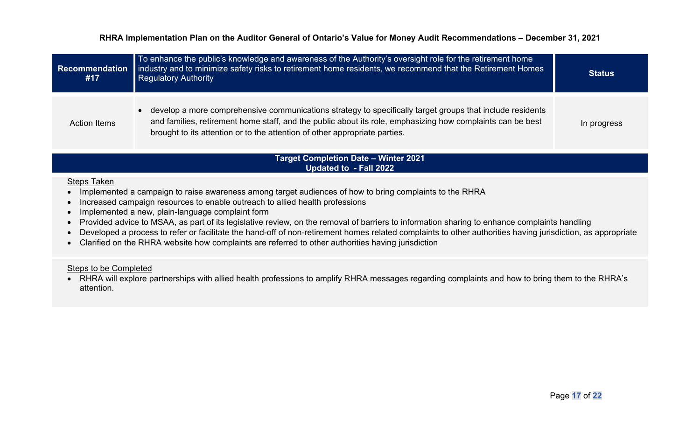| <b>Recommendation</b><br>#17 | To enhance the public's knowledge and awareness of the Authority's oversight role for the retirement home<br>industry and to minimize safety risks to retirement home residents, we recommend that the Retirement Homes<br><b>Regulatory Authority</b>                                                             | <b>Status</b> |
|------------------------------|--------------------------------------------------------------------------------------------------------------------------------------------------------------------------------------------------------------------------------------------------------------------------------------------------------------------|---------------|
| <b>Action Items</b>          | develop a more comprehensive communications strategy to specifically target groups that include residents<br>$\bullet$<br>and families, retirement home staff, and the public about its role, emphasizing how complaints can be best<br>brought to its attention or to the attention of other appropriate parties. | In progress   |

#### **Target Completion Date – Winter 2021 Updated to - Fall 2022**

### Steps Taken

- Implemented a campaign to raise awareness among target audiences of how to bring complaints to the RHRA
- Increased campaign resources to enable outreach to allied health professions
- Implemented a new, plain-language complaint form
- Provided advice to MSAA, as part of its legislative review, on the removal of barriers to information sharing to enhance complaints handling
- Developed a process to refer or facilitate the hand-off of non-retirement homes related complaints to other authorities having jurisdiction, as appropriate
- Clarified on the RHRA website how complaints are referred to other authorities having jurisdiction

#### Steps to be Completed

• RHRA will explore partnerships with allied health professions to amplify RHRA messages regarding complaints and how to bring them to the RHRA's attention.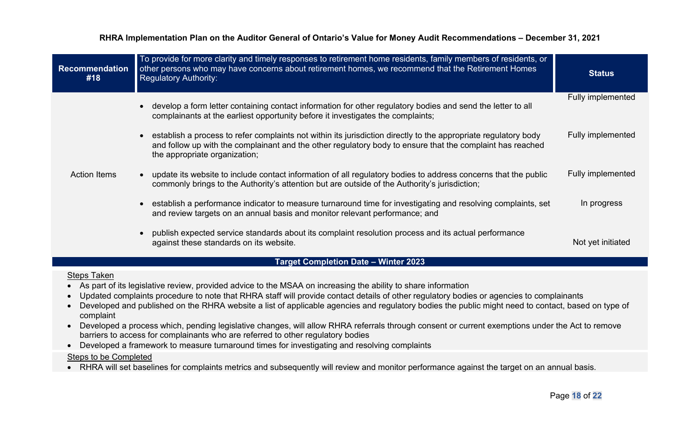| <b>Recommendation</b><br>#18                | To provide for more clarity and timely responses to retirement home residents, family members of residents, or<br>other persons who may have concerns about retirement homes, we recommend that the Retirement Homes<br><b>Regulatory Authority:</b>          | <b>Status</b>            |
|---------------------------------------------|---------------------------------------------------------------------------------------------------------------------------------------------------------------------------------------------------------------------------------------------------------------|--------------------------|
|                                             | develop a form letter containing contact information for other regulatory bodies and send the letter to all<br>complainants at the earliest opportunity before it investigates the complaints;                                                                | <b>Fully implemented</b> |
| <b>Action Items</b>                         | establish a process to refer complaints not within its jurisdiction directly to the appropriate regulatory body<br>and follow up with the complainant and the other regulatory body to ensure that the complaint has reached<br>the appropriate organization; | Fully implemented        |
|                                             | update its website to include contact information of all regulatory bodies to address concerns that the public<br>$\bullet$<br>commonly brings to the Authority's attention but are outside of the Authority's jurisdiction;                                  | <b>Fully implemented</b> |
|                                             | establish a performance indicator to measure turnaround time for investigating and resolving complaints, set<br>and review targets on an annual basis and monitor relevant performance; and                                                                   | In progress              |
|                                             | publish expected service standards about its complaint resolution process and its actual performance<br>against these standards on its website.                                                                                                               | Not yet initiated        |
| <b>Target Completion Date - Winter 2023</b> |                                                                                                                                                                                                                                                               |                          |

#### Steps Taken

- As part of its legislative review, provided advice to the MSAA on increasing the ability to share information
- Updated complaints procedure to note that RHRA staff will provide contact details of other regulatory bodies or agencies to complainants
- Developed and published on the RHRA website a list of applicable agencies and regulatory bodies the public might need to contact, based on type of complaint
- Developed a process which, pending legislative changes, will allow RHRA referrals through consent or current exemptions under the Act to remove barriers to access for complainants who are referred to other regulatory bodies
- Developed a framework to measure turnaround times for investigating and resolving complaints

### Steps to be Completed

• RHRA will set baselines for complaints metrics and subsequently will review and monitor performance against the target on an annual basis.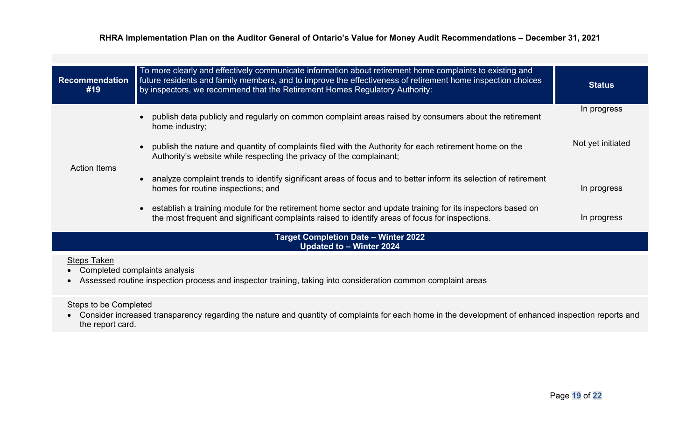| <b>Recommendation</b><br>#19                | To more clearly and effectively communicate information about retirement home complaints to existing and<br>future residents and family members, and to improve the effectiveness of retirement home inspection choices<br>by inspectors, we recommend that the Retirement Homes Regulatory Authority: | <b>Status</b>     |
|---------------------------------------------|--------------------------------------------------------------------------------------------------------------------------------------------------------------------------------------------------------------------------------------------------------------------------------------------------------|-------------------|
|                                             | publish data publicly and regularly on common complaint areas raised by consumers about the retirement<br>$\bullet$<br>home industry;                                                                                                                                                                  | In progress       |
|                                             | • publish the nature and quantity of complaints filed with the Authority for each retirement home on the<br>Authority's website while respecting the privacy of the complainant;                                                                                                                       | Not yet initiated |
| <b>Action Items</b>                         | • analyze complaint trends to identify significant areas of focus and to better inform its selection of retirement<br>homes for routine inspections; and                                                                                                                                               | In progress       |
|                                             | establish a training module for the retirement home sector and update training for its inspectors based on<br>$\bullet$<br>the most frequent and significant complaints raised to identify areas of focus for inspections.                                                                             | In progress       |
| <b>Target Completion Date - Winter 2022</b> |                                                                                                                                                                                                                                                                                                        |                   |

#### **Updated to – Winter 2024**

## Steps Taken

- Completed complaints analysis
- Assessed routine inspection process and inspector training, taking into consideration common complaint areas

## Steps to be Completed

• Consider increased transparency regarding the nature and quantity of complaints for each home in the development of enhanced inspection reports and the report card.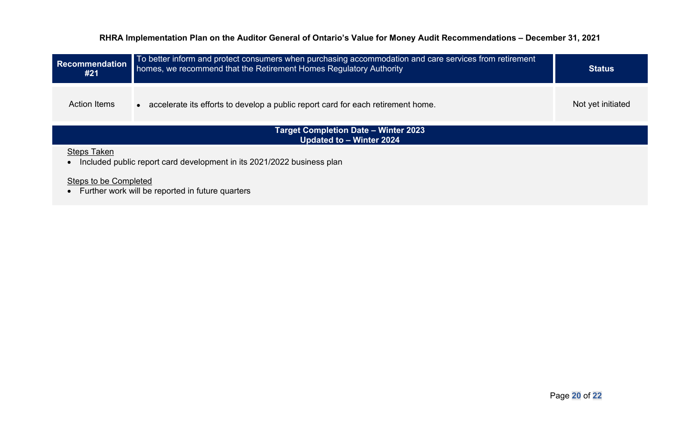| <b>Recommendation</b><br>#21                                                                 | To better inform and protect consumers when purchasing accommodation and care services from retirement<br>homes, we recommend that the Retirement Homes Regulatory Authority | <b>Status</b>     |  |
|----------------------------------------------------------------------------------------------|------------------------------------------------------------------------------------------------------------------------------------------------------------------------------|-------------------|--|
| <b>Action Items</b>                                                                          | accelerate its efforts to develop a public report card for each retirement home.<br>$\bullet$                                                                                | Not yet initiated |  |
| <b>Target Completion Date - Winter 2023</b><br>Updated to - Winter 2024                      |                                                                                                                                                                              |                   |  |
| <b>Steps Taken</b><br>Included public report card development in its 2021/2022 business plan |                                                                                                                                                                              |                   |  |
| Steps to be Completed<br>Further work will be reported in future quarters                    |                                                                                                                                                                              |                   |  |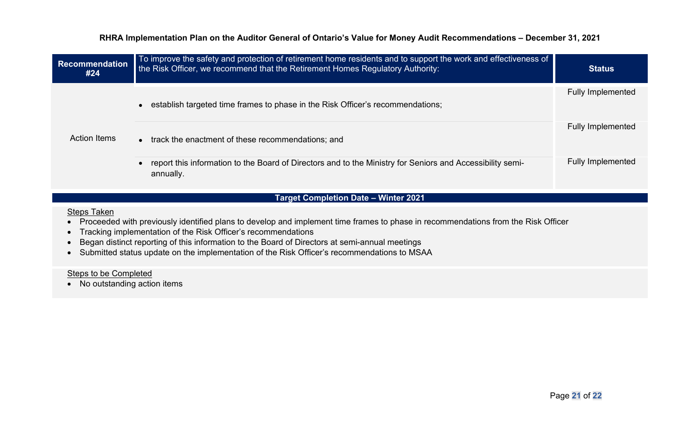| <b>Recommendation</b><br>#24 | To improve the safety and protection of retirement home residents and to support the work and effectiveness of<br>the Risk Officer, we recommend that the Retirement Homes Regulatory Authority: | <b>Status</b>            |
|------------------------------|--------------------------------------------------------------------------------------------------------------------------------------------------------------------------------------------------|--------------------------|
|                              | establish targeted time frames to phase in the Risk Officer's recommendations;                                                                                                                   | <b>Fully Implemented</b> |
| <b>Action Items</b>          | track the enactment of these recommendations; and<br>$\bullet$                                                                                                                                   | <b>Fully Implemented</b> |
|                              | report this information to the Board of Directors and to the Ministry for Seniors and Accessibility semi-<br>annually.                                                                           | <b>Fully Implemented</b> |

## **Target Completion Date – Winter 2021**

Steps Taken

- Proceeded with previously identified plans to develop and implement time frames to phase in recommendations from the Risk Officer
- Tracking implementation of the Risk Officer's recommendations
- Began distinct reporting of this information to the Board of Directors at semi-annual meetings
- Submitted status update on the implementation of the Risk Officer's recommendations to MSAA

Steps to be Completed

• No outstanding action items